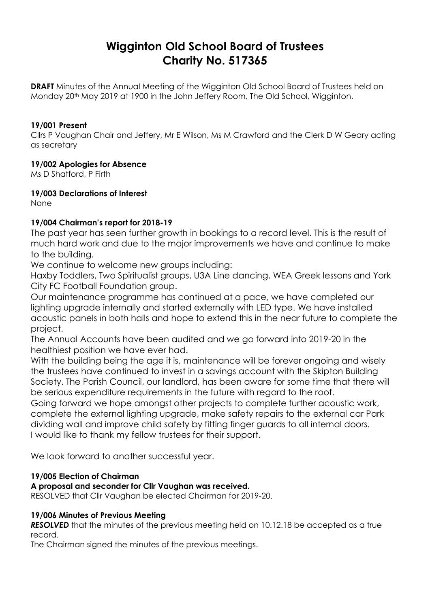# **Wigginton Old School Board of Trustees Charity No. 517365**

**DRAFT** Minutes of the Annual Meeting of the Wigginton Old School Board of Trustees held on Monday 20th May 2019 at 1900 in the John Jeffery Room, The Old School, Wigginton.

#### **19/001 Present**

Cllrs P Vaughan Chair and Jeffery, Mr E Wilson, Ms M Crawford and the Clerk D W Geary acting as secretary

#### **19/002 Apologies for Absence**

Ms D Shatford, P Firth

**19/003 Declarations of Interest**

None

#### **19/004 Chairman's report for 2018-19**

The past year has seen further growth in bookings to a record level. This is the result of much hard work and due to the major improvements we have and continue to make to the building.

We continue to welcome new groups including:

Haxby Toddlers, Two Spiritualist groups, U3A Line dancing, WEA Greek lessons and York City FC Football Foundation group.

Our maintenance programme has continued at a pace, we have completed our lighting upgrade internally and started externally with LED type. We have installed acoustic panels in both halls and hope to extend this in the near future to complete the project.

The Annual Accounts have been audited and we go forward into 2019-20 in the healthiest position we have ever had.

With the building being the age it is, maintenance will be forever ongoing and wisely the trustees have continued to invest in a savings account with the Skipton Building Society. The Parish Council, our landlord, has been aware for some time that there will be serious expenditure requirements in the future with regard to the roof.

Going forward we hope amongst other projects to complete further acoustic work, complete the external lighting upgrade, make safety repairs to the external car Park dividing wall and improve child safety by fitting finger guards to all internal doors. I would like to thank my fellow trustees for their support.

We look forward to another successful year.

#### **19/005 Election of Chairman**

#### **A proposal and seconder for Cllr Vaughan was received.**

RESOLVED that Cllr Vaughan be elected Chairman for 2019-20.

#### **19/006 Minutes of Previous Meeting**

**RESOLVED** that the minutes of the previous meeting held on 10.12.18 be accepted as a true record.

The Chairman signed the minutes of the previous meetings.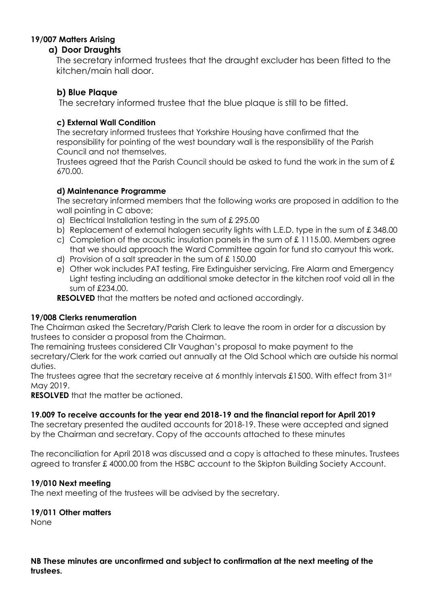# **19/007 Matters Arising**

#### **a) Door Draughts**

The secretary informed trustees that the draught excluder has been fitted to the kitchen/main hall door.

## **b) Blue Plaque**

The secretary informed trustee that the blue plaque is still to be fitted.

## **c) External Wall Condition**

The secretary informed trustees that Yorkshire Housing have confirmed that the responsibility for pointing of the west boundary wall is the responsibility of the Parish Council and not themselves.

Trustees agreed that the Parish Council should be asked to fund the work in the sum of £ 670.00.

#### **d) Maintenance Programme**

The secretary informed members that the following works are proposed in addition to the wall pointing in C above;

- a) Electrical Installation testing in the sum of £ 295.00
- b) Replacement of external halogen security lights with L.E.D. type in the sum of £ 348.00
- c) Completion of the acoustic insulation panels in the sum of £ 1115.00. Members agree that we should approach the Ward Committee again for fund sto carryout this work.
- d) Provision of a salt spreader in the sum of £ 150.00
- e) Other wok includes PAT testing, Fire Extinguisher servicing, Fire Alarm and Emergency Light testing including an additional smoke detector in the kitchen roof void all in the sum of £234.00.

**RESOLVED** that the matters be noted and actioned accordingly.

#### **19/008 Clerks renumeration**

The Chairman asked the Secretary/Parish Clerk to leave the room in order for a discussion by trustees to consider a proposal from the Chairman.

The remaining trustees considered Cllr Vaughan's proposal to make payment to the secretary/Clerk for the work carried out annually at the Old School which are outside his normal duties.

The trustees agree that the secretary receive at 6 monthly intervals £1500. With effect from 31<sup>st</sup> May 2019.

**RESOLVED** that the matter be actioned.

#### **19.009 To receive accounts for the year end 2018-19 and the financial report for April 2019**

The secretary presented the audited accounts for 2018-19. These were accepted and signed by the Chairman and secretary. Copy of the accounts attached to these minutes

The reconciliation for April 2018 was discussed and a copy is attached to these minutes. Trustees agreed to transfer £ 4000.00 from the HSBC account to the Skipton Building Society Account.

#### **19/010 Next meeting**

The next meeting of the trustees will be advised by the secretary.

#### **19/011 Other matters**

None

**NB These minutes are unconfirmed and subject to confirmation at the next meeting of the trustees.**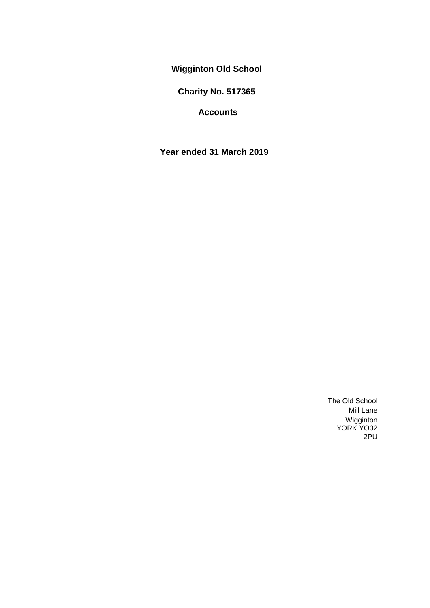**Wigginton Old School**

**Charity No. 517365**

**Accounts**

**Year ended 31 March 2019**

The Old School Mill Lane Wigginton YORK YO32 2PU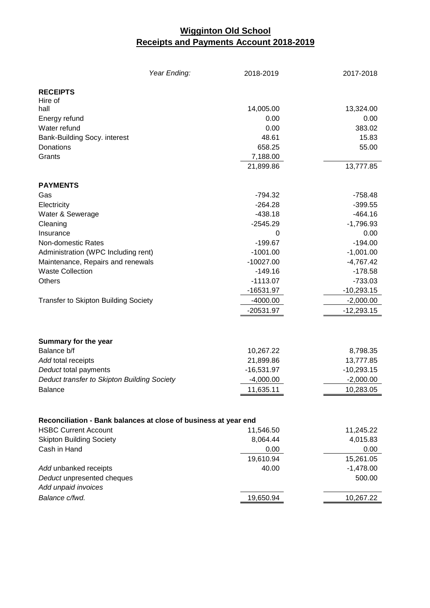# **Wigginton Old School Receipts and Payments Account 2018-2019**

| Year Ending:                                                    | 2018-2019    | 2017-2018    |
|-----------------------------------------------------------------|--------------|--------------|
| <b>RECEIPTS</b>                                                 |              |              |
| Hire of                                                         |              |              |
| hall                                                            | 14,005.00    | 13,324.00    |
| Energy refund                                                   | 0.00         | 0.00         |
| Water refund                                                    | 0.00         | 383.02       |
| Bank-Building Socy. interest                                    | 48.61        | 15.83        |
| Donations                                                       | 658.25       | 55.00        |
| Grants                                                          | 7,188.00     |              |
|                                                                 | 21,899.86    | 13,777.85    |
| <b>PAYMENTS</b>                                                 |              |              |
| Gas                                                             | $-794.32$    | -758.48      |
| Electricity                                                     | $-264.28$    | $-399.55$    |
| Water & Sewerage                                                | $-438.18$    | $-464.16$    |
| Cleaning                                                        | $-2545.29$   | $-1,796.93$  |
| Insurance                                                       | 0            | 0.00         |
| Non-domestic Rates                                              | $-199.67$    | $-194.00$    |
| Administration (WPC Including rent)                             | $-1001.00$   | $-1,001.00$  |
| Maintenance, Repairs and renewals                               | $-10027.00$  | $-4,767.42$  |
| <b>Waste Collection</b>                                         | $-149.16$    | $-178.58$    |
| <b>Others</b>                                                   | $-1113.07$   | $-733.03$    |
|                                                                 | -16531.97    | $-10,293.15$ |
| <b>Transfer to Skipton Building Society</b>                     | $-4000.00$   | $-2,000.00$  |
|                                                                 | -20531.97    | $-12,293.15$ |
|                                                                 |              |              |
| Summary for the year                                            |              |              |
| Balance b/f                                                     | 10,267.22    | 8,798.35     |
| Add total receipts                                              | 21,899.86    | 13,777.85    |
| Deduct total payments                                           | $-16,531.97$ | $-10,293.15$ |
| Deduct transfer to Skipton Building Society                     | $-4,000.00$  | $-2,000.00$  |
| <b>Balance</b>                                                  | 11,635.11    | 10,283.05    |
|                                                                 |              |              |
| Reconciliation - Bank balances at close of business at year end |              |              |
| <b>HSBC Current Account</b>                                     | 11,546.50    | 11,245.22    |
| <b>Skipton Building Society</b>                                 | 8,064.44     | 4,015.83     |
| Cash in Hand                                                    | 0.00         | 0.00         |
|                                                                 | 19,610.94    | 15,261.05    |
| Add unbanked receipts                                           | 40.00        | $-1,478.00$  |
| Deduct unpresented cheques                                      |              | 500.00       |
| Add unpaid invoices                                             |              |              |
| Balance c/fwd.                                                  | 19,650.94    | 10,267.22    |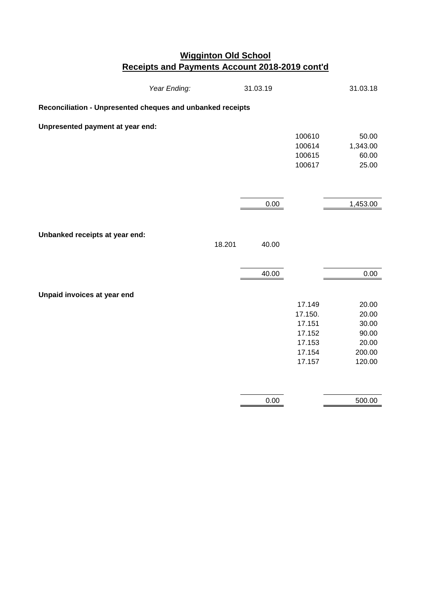# **Wigginton Old School Receipts and Payments Account 2018-2019 cont'd**

|                                                            | Year Ending: | 31.03.19 |                   | 31.03.18          |  |  |
|------------------------------------------------------------|--------------|----------|-------------------|-------------------|--|--|
| Reconciliation - Unpresented cheques and unbanked receipts |              |          |                   |                   |  |  |
| Unpresented payment at year end:                           |              |          |                   |                   |  |  |
|                                                            |              |          | 100610<br>100614  | 50.00<br>1,343.00 |  |  |
|                                                            |              |          | 100615            | 60.00             |  |  |
|                                                            |              |          | 100617            | 25.00             |  |  |
|                                                            |              |          |                   |                   |  |  |
|                                                            |              |          |                   |                   |  |  |
|                                                            |              | 0.00     |                   | 1,453.00          |  |  |
|                                                            |              |          |                   |                   |  |  |
|                                                            |              |          |                   |                   |  |  |
| Unbanked receipts at year end:                             |              |          |                   |                   |  |  |
|                                                            | 18.201       | 40.00    |                   |                   |  |  |
|                                                            |              |          |                   |                   |  |  |
|                                                            |              | 40.00    |                   | 0.00              |  |  |
|                                                            |              |          |                   |                   |  |  |
| Unpaid invoices at year end                                |              |          |                   |                   |  |  |
|                                                            |              |          | 17.149            | 20.00             |  |  |
|                                                            |              |          | 17.150.<br>17.151 | 20.00<br>30.00    |  |  |
|                                                            |              |          | 17.152            | 90.00             |  |  |
|                                                            |              |          | 17.153            | 20.00             |  |  |
|                                                            |              |          | 17.154            | 200.00            |  |  |
|                                                            |              |          | 17.157            | 120.00            |  |  |
|                                                            |              |          |                   |                   |  |  |
|                                                            |              |          |                   |                   |  |  |
|                                                            |              | 0.00     |                   | 500.00            |  |  |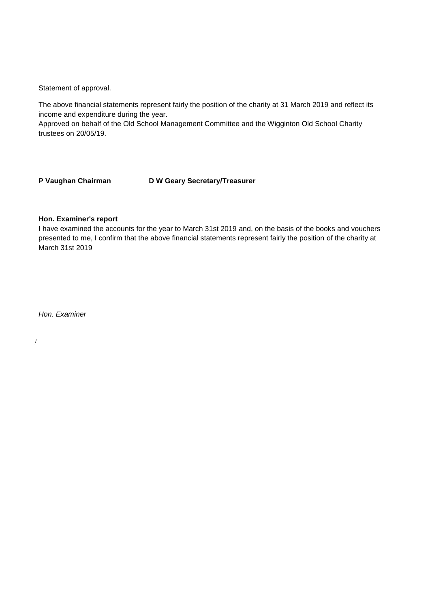Statement of approval.

The above financial statements represent fairly the position of the charity at 31 March 2019 and reflect its income and expenditure during the year.

Approved on behalf of the Old School Management Committee and the Wigginton Old School Charity trustees on 20/05/19.

**P Vaughan Chairman D W Geary Secretary/Treasurer**

#### **Hon. Examiner's report**

I have examined the accounts for the year to March 31st 2019 and, on the basis of the books and vouchers presented to me, I confirm that the above financial statements represent fairly the position of the charity at March 31st 2019

*Hon. Examiner*

/